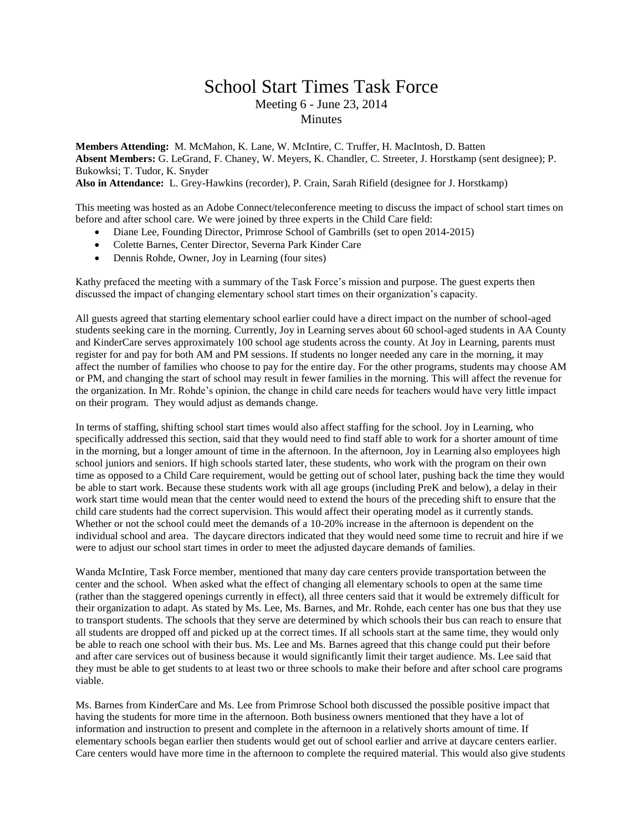## School Start Times Task Force Meeting 6 - June 23, 2014 **Minutes**

**Members Attending:** M. McMahon, K. Lane, W. McIntire, C. Truffer, H. MacIntosh, D. Batten **Absent Members:** G. LeGrand, F. Chaney, W. Meyers, K. Chandler, C. Streeter, J. Horstkamp (sent designee); P. Bukowksi; T. Tudor, K. Snyder **Also in Attendance:** L. Grey-Hawkins (recorder), P. Crain, Sarah Rifield (designee for J. Horstkamp)

This meeting was hosted as an Adobe Connect/teleconference meeting to discuss the impact of school start times on before and after school care. We were joined by three experts in the Child Care field:

- Diane Lee, Founding Director, Primrose School of Gambrills (set to open 2014-2015)
- Colette Barnes, Center Director, Severna Park Kinder Care
- Dennis Rohde, Owner, Joy in Learning (four sites)

Kathy prefaced the meeting with a summary of the Task Force's mission and purpose. The guest experts then discussed the impact of changing elementary school start times on their organization's capacity.

All guests agreed that starting elementary school earlier could have a direct impact on the number of school-aged students seeking care in the morning. Currently, Joy in Learning serves about 60 school-aged students in AA County and KinderCare serves approximately 100 school age students across the county. At Joy in Learning, parents must register for and pay for both AM and PM sessions. If students no longer needed any care in the morning, it may affect the number of families who choose to pay for the entire day. For the other programs, students may choose AM or PM, and changing the start of school may result in fewer families in the morning. This will affect the revenue for the organization. In Mr. Rohde's opinion, the change in child care needs for teachers would have very little impact on their program. They would adjust as demands change.

In terms of staffing, shifting school start times would also affect staffing for the school. Joy in Learning, who specifically addressed this section, said that they would need to find staff able to work for a shorter amount of time in the morning, but a longer amount of time in the afternoon. In the afternoon, Joy in Learning also employees high school juniors and seniors. If high schools started later, these students, who work with the program on their own time as opposed to a Child Care requirement, would be getting out of school later, pushing back the time they would be able to start work. Because these students work with all age groups (including PreK and below), a delay in their work start time would mean that the center would need to extend the hours of the preceding shift to ensure that the child care students had the correct supervision. This would affect their operating model as it currently stands. Whether or not the school could meet the demands of a 10-20% increase in the afternoon is dependent on the individual school and area. The daycare directors indicated that they would need some time to recruit and hire if we were to adjust our school start times in order to meet the adjusted daycare demands of families.

Wanda McIntire, Task Force member, mentioned that many day care centers provide transportation between the center and the school. When asked what the effect of changing all elementary schools to open at the same time (rather than the staggered openings currently in effect), all three centers said that it would be extremely difficult for their organization to adapt. As stated by Ms. Lee, Ms. Barnes, and Mr. Rohde, each center has one bus that they use to transport students. The schools that they serve are determined by which schools their bus can reach to ensure that all students are dropped off and picked up at the correct times. If all schools start at the same time, they would only be able to reach one school with their bus. Ms. Lee and Ms. Barnes agreed that this change could put their before and after care services out of business because it would significantly limit their target audience. Ms. Lee said that they must be able to get students to at least two or three schools to make their before and after school care programs viable.

Ms. Barnes from KinderCare and Ms. Lee from Primrose School both discussed the possible positive impact that having the students for more time in the afternoon. Both business owners mentioned that they have a lot of information and instruction to present and complete in the afternoon in a relatively shorts amount of time. If elementary schools began earlier then students would get out of school earlier and arrive at daycare centers earlier. Care centers would have more time in the afternoon to complete the required material. This would also give students